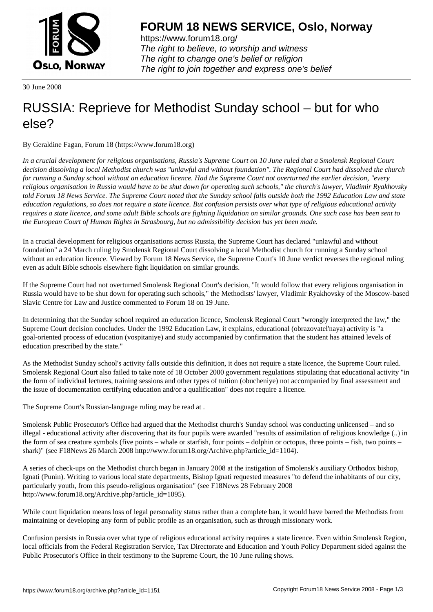

https://www.forum18.org/ The right to believe, to worship and witness The right to change one's belief or religion [The right to join together a](https://www.forum18.org/)nd express one's belief

30 June 2008

## [RUSSIA: Reprie](https://www.forum18.org)ve for Methodist Sunday school – but for who else?

By Geraldine Fagan, Forum 18 (https://www.forum18.org)

*In a crucial development for religious organisations, Russia's Supreme Court on 10 June ruled that a Smolensk Regional Court decision dissolving a local Methodist church was "unlawful and without foundation". The Regional Court had dissolved the church for running a Sunday school without an education licence. Had the Supreme Court not overturned the earlier decision, "every religious organisation in Russia would have to be shut down for operating such schools," the church's lawyer, Vladimir Ryakhovsky told Forum 18 News Service. The Supreme Court noted that the Sunday school falls outside both the 1992 Education Law and state education regulations, so does not require a state licence. But confusion persists over what type of religious educational activity requires a state licence, and some adult Bible schools are fighting liquidation on similar grounds. One such case has been sent to the European Court of Human Rights in Strasbourg, but no admissibility decision has yet been made.*

In a crucial development for religious organisations across Russia, the Supreme Court has declared "unlawful and without foundation" a 24 March ruling by Smolensk Regional Court dissolving a local Methodist church for running a Sunday school without an education licence. Viewed by Forum 18 News Service, the Supreme Court's 10 June verdict reverses the regional ruling even as adult Bible schools elsewhere fight liquidation on similar grounds.

If the Supreme Court had not overturned Smolensk Regional Court's decision, "It would follow that every religious organisation in Russia would have to be shut down for operating such schools," the Methodists' lawyer, Vladimir Ryakhovsky of the Moscow-based Slavic Centre for Law and Justice commented to Forum 18 on 19 June.

In determining that the Sunday school required an education licence, Smolensk Regional Court "wrongly interpreted the law," the Supreme Court decision concludes. Under the 1992 Education Law, it explains, educational (obrazovatel'naya) activity is "a goal-oriented process of education (vospitaniye) and study accompanied by confirmation that the student has attained levels of education prescribed by the state."

As the Methodist Sunday school's activity falls outside this definition, it does not require a state licence, the Supreme Court ruled. Smolensk Regional Court also failed to take note of 18 October 2000 government regulations stipulating that educational activity "in the form of individual lectures, training sessions and other types of tuition (obucheniye) not accompanied by final assessment and the issue of documentation certifying education and/or a qualification" does not require a licence.

The Supreme Court's Russian-language ruling may be read at .

Smolensk Public Prosecutor's Office had argued that the Methodist church's Sunday school was conducting unlicensed – and so illegal - educational activity after discovering that its four pupils were awarded "results of assimilation of religious knowledge (..) in the form of sea creature symbols (five points – whale or starfish, four points – dolphin or octopus, three points – fish, two points – shark)" (see F18News 26 March 2008 http://www.forum18.org/Archive.php?article\_id=1104).

A series of check-ups on the Methodist church began in January 2008 at the instigation of Smolensk's auxiliary Orthodox bishop, Ignati (Punin). Writing to various local state departments, Bishop Ignati requested measures "to defend the inhabitants of our city, particularly youth, from this pseudo-religious organisation" (see F18News 28 February 2008 http://www.forum18.org/Archive.php?article\_id=1095).

While court liquidation means loss of legal personality status rather than a complete ban, it would have barred the Methodists from maintaining or developing any form of public profile as an organisation, such as through missionary work.

Confusion persists in Russia over what type of religious educational activity requires a state licence. Even within Smolensk Region, local officials from the Federal Registration Service, Tax Directorate and Education and Youth Policy Department sided against the Public Prosecutor's Office in their testimony to the Supreme Court, the 10 June ruling shows.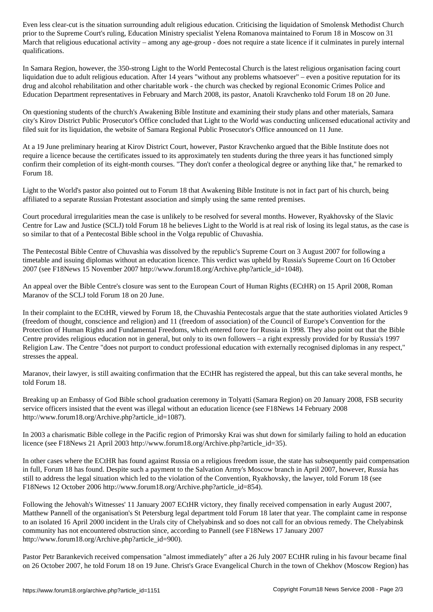prior to the Supreme Court's ruling, Education Ministers  $\mathcal{S}$  in Moscow on  $\mathcal{S}$  in Moscow on  $\mathcal{S}$  in Moscow on  $\mathcal{S}$  in  $\mathcal{S}$  in Moscow on  $\mathcal{S}$  in Moscow on  $\mathcal{S}$  in Moscow on  $\mathcal{S}$  in Moscow o March that religious educational activity – among any age-group - does not require a state licence if it culminates in purely internal qualifications.

In Samara Region, however, the 350-strong Light to the World Pentecostal Church is the latest religious organisation facing court liquidation due to adult religious education. After 14 years "without any problems whatsoever" – even a positive reputation for its drug and alcohol rehabilitation and other charitable work - the church was checked by regional Economic Crimes Police and Education Department representatives in February and March 2008, its pastor, Anatoli Kravchenko told Forum 18 on 20 June.

On questioning students of the church's Awakening Bible Institute and examining their study plans and other materials, Samara city's Kirov District Public Prosecutor's Office concluded that Light to the World was conducting unlicensed educational activity and filed suit for its liquidation, the website of Samara Regional Public Prosecutor's Office announced on 11 June.

At a 19 June preliminary hearing at Kirov District Court, however, Pastor Kravchenko argued that the Bible Institute does not require a licence because the certificates issued to its approximately ten students during the three years it has functioned simply confirm their completion of its eight-month courses. "They don't confer a theological degree or anything like that," he remarked to Forum 18.

Light to the World's pastor also pointed out to Forum 18 that Awakening Bible Institute is not in fact part of his church, being affiliated to a separate Russian Protestant association and simply using the same rented premises.

Court procedural irregularities mean the case is unlikely to be resolved for several months. However, Ryakhovsky of the Slavic Centre for Law and Justice (SCLJ) told Forum 18 he believes Light to the World is at real risk of losing its legal status, as the case is so similar to that of a Pentecostal Bible school in the Volga republic of Chuvashia.

The Pentecostal Bible Centre of Chuvashia was dissolved by the republic's Supreme Court on 3 August 2007 for following a timetable and issuing diplomas without an education licence. This verdict was upheld by Russia's Supreme Court on 16 October 2007 (see F18News 15 November 2007 http://www.forum18.org/Archive.php?article\_id=1048).

An appeal over the Bible Centre's closure was sent to the European Court of Human Rights (ECtHR) on 15 April 2008, Roman Maranov of the SCLJ told Forum 18 on 20 June.

In their complaint to the ECtHR, viewed by Forum 18, the Chuvashia Pentecostals argue that the state authorities violated Articles 9 (freedom of thought, conscience and religion) and 11 (freedom of association) of the Council of Europe's Convention for the Protection of Human Rights and Fundamental Freedoms, which entered force for Russia in 1998. They also point out that the Bible Centre provides religious education not in general, but only to its own followers – a right expressly provided for by Russia's 1997 Religion Law. The Centre "does not purport to conduct professional education with externally recognised diplomas in any respect," stresses the appeal.

Maranov, their lawyer, is still awaiting confirmation that the ECtHR has registered the appeal, but this can take several months, he told Forum 18.

Breaking up an Embassy of God Bible school graduation ceremony in Tolyatti (Samara Region) on 20 January 2008, FSB security service officers insisted that the event was illegal without an education licence (see F18News 14 February 2008 http://www.forum18.org/Archive.php?article\_id=1087).

In 2003 a charismatic Bible college in the Pacific region of Primorsky Krai was shut down for similarly failing to hold an education licence (see F18News 21 April 2003 http://www.forum18.org/Archive.php?article\_id=35).

In other cases where the ECtHR has found against Russia on a religious freedom issue, the state has subsequently paid compensation in full, Forum 18 has found. Despite such a payment to the Salvation Army's Moscow branch in April 2007, however, Russia has still to address the legal situation which led to the violation of the Convention, Ryakhovsky, the lawyer, told Forum 18 (see F18News 12 October 2006 http://www.forum18.org/Archive.php?article\_id=854).

Following the Jehovah's Witnesses' 11 January 2007 ECtHR victory, they finally received compensation in early August 2007, Matthew Pannell of the organisation's St Petersburg legal department told Forum 18 later that year. The complaint came in response to an isolated 16 April 2000 incident in the Urals city of Chelyabinsk and so does not call for an obvious remedy. The Chelyabinsk community has not encountered obstruction since, according to Pannell (see F18News 17 January 2007 http://www.forum18.org/Archive.php?article\_id=900).

Pastor Petr Barankevich received compensation "almost immediately" after a 26 July 2007 ECtHR ruling in his favour became final on 26 October 2007, he told Forum 18 on 19 June. Christ's Grace Evangelical Church in the town of Chekhov (Moscow Region) has